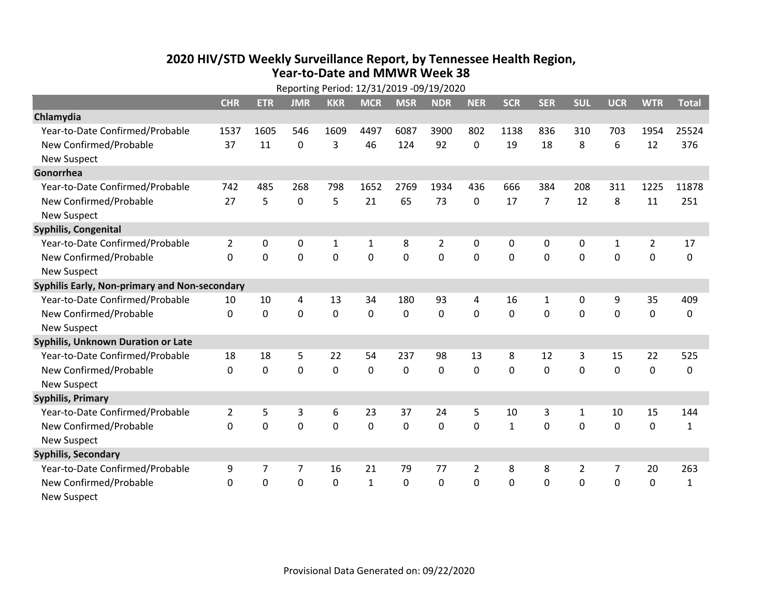## **2020 HIV /STD Weekly Surveillance Report, by Tennessee Health Region, Year‐to‐Date and MMWR Week 38** Reporting Period: 12/31/2019 ‐09/19/2020

| Reporting Period: 12/31/2019 -09/19/2020      |                |             |             |              |              |                |                |                |              |                |                |                |                |              |
|-----------------------------------------------|----------------|-------------|-------------|--------------|--------------|----------------|----------------|----------------|--------------|----------------|----------------|----------------|----------------|--------------|
|                                               | <b>CHR</b>     | <b>ETR</b>  | <b>JMR</b>  | <b>KKR</b>   | <b>MCR</b>   | <b>MSR</b>     | <b>NDR</b>     | <b>NER</b>     | <b>SCR</b>   | <b>SER</b>     | <b>SUL</b>     | <b>UCR</b>     | <b>WTR</b>     | <b>Total</b> |
| Chlamydia                                     |                |             |             |              |              |                |                |                |              |                |                |                |                |              |
| Year-to-Date Confirmed/Probable               | 1537           | 1605        | 546         | 1609         | 4497         | 6087           | 3900           | 802            | 1138         | 836            | 310            | 703            | 1954           | 25524        |
| New Confirmed/Probable                        | 37             | 11          | 0           | 3            | 46           | 124            | 92             | 0              | 19           | 18             | 8              | 6              | 12             | 376          |
| <b>New Suspect</b>                            |                |             |             |              |              |                |                |                |              |                |                |                |                |              |
| Gonorrhea                                     |                |             |             |              |              |                |                |                |              |                |                |                |                |              |
| Year-to-Date Confirmed/Probable               | 742            | 485         | 268         | 798          | 1652         | 2769           | 1934           | 436            | 666          | 384            | 208            | 311            | 1225           | 11878        |
| New Confirmed/Probable                        | 27             | 5           | $\mathbf 0$ | 5            | 21           | 65             | 73             | 0              | 17           | $\overline{7}$ | 12             | 8              | 11             | 251          |
| <b>New Suspect</b>                            |                |             |             |              |              |                |                |                |              |                |                |                |                |              |
| <b>Syphilis, Congenital</b>                   |                |             |             |              |              |                |                |                |              |                |                |                |                |              |
| Year-to-Date Confirmed/Probable               | $\overline{2}$ | 0           | $\mathbf 0$ | $\mathbf{1}$ | 1            | 8              | $\overline{2}$ | 0              | 0            | 0              | 0              | $\mathbf{1}$   | $\overline{2}$ | 17           |
| New Confirmed/Probable                        | $\mathbf{0}$   | $\mathbf 0$ | 0           | 0            | $\mathbf 0$  | $\overline{0}$ | 0              | $\mathbf 0$    | $\mathbf{0}$ | 0              | 0              | 0              | $\mathbf 0$    | 0            |
| <b>New Suspect</b>                            |                |             |             |              |              |                |                |                |              |                |                |                |                |              |
| Syphilis Early, Non-primary and Non-secondary |                |             |             |              |              |                |                |                |              |                |                |                |                |              |
| Year-to-Date Confirmed/Probable               | 10             | 10          | 4           | 13           | 34           | 180            | 93             | 4              | 16           | $\mathbf{1}$   | 0              | 9              | 35             | 409          |
| New Confirmed/Probable                        | $\Omega$       | $\mathbf 0$ | $\Omega$    | 0            | $\mathbf 0$  | $\mathbf 0$    | 0              | $\Omega$       | $\Omega$     | $\Omega$       | $\Omega$       | $\Omega$       | $\mathbf 0$    | 0            |
| <b>New Suspect</b>                            |                |             |             |              |              |                |                |                |              |                |                |                |                |              |
| Syphilis, Unknown Duration or Late            |                |             |             |              |              |                |                |                |              |                |                |                |                |              |
| Year-to-Date Confirmed/Probable               | 18             | 18          | 5           | 22           | 54           | 237            | 98             | 13             | 8            | 12             | 3              | 15             | 22             | 525          |
| New Confirmed/Probable                        | $\Omega$       | $\mathbf 0$ | $\mathbf 0$ | 0            | $\mathbf 0$  | $\mathbf 0$    | $\Omega$       | $\Omega$       | $\Omega$     | $\Omega$       | $\Omega$       | 0              | $\mathbf 0$    | 0            |
| <b>New Suspect</b>                            |                |             |             |              |              |                |                |                |              |                |                |                |                |              |
| <b>Syphilis, Primary</b>                      |                |             |             |              |              |                |                |                |              |                |                |                |                |              |
| Year-to-Date Confirmed/Probable               | $\overline{2}$ | 5           | 3           | 6            | 23           | 37             | 24             | 5              | 10           | 3              | 1              | 10             | 15             | 144          |
| New Confirmed/Probable                        | $\Omega$       | 0           | 0           | 0            | $\mathbf 0$  | 0              | 0              | $\Omega$       | $\mathbf{1}$ | 0              | $\Omega$       | 0              | $\mathbf 0$    | $\mathbf{1}$ |
| <b>New Suspect</b>                            |                |             |             |              |              |                |                |                |              |                |                |                |                |              |
| <b>Syphilis, Secondary</b>                    |                |             |             |              |              |                |                |                |              |                |                |                |                |              |
| Year-to-Date Confirmed/Probable               | 9              | 7           | 7           | 16           | 21           | 79             | 77             | $\overline{2}$ | 8            | 8              | $\overline{2}$ | $\overline{7}$ | 20             | 263          |
| New Confirmed/Probable                        | 0              | 0           | 0           | 0            | $\mathbf{1}$ | 0              | 0              | $\mathbf 0$    | $\Omega$     | 0              | 0              | 0              | $\mathbf 0$    | $\mathbf{1}$ |
| <b>New Suspect</b>                            |                |             |             |              |              |                |                |                |              |                |                |                |                |              |